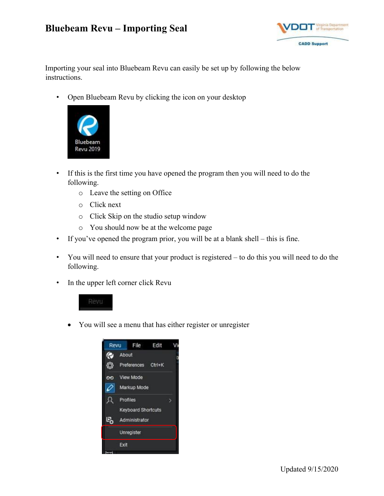## **Bluebeam Revu – Importing Seal**



Importing your seal into Bluebeam Revu can easily be set up by following the below instructions.

• Open Bluebeam Revu by clicking the icon on your desktop



- If this is the first time you have opened the program then you will need to do the following.
	- o Leave the setting on Office
	- o Click next
	- o Click Skip on the studio setup window
	- o You should now be at the welcome page
- If you've opened the program prior, you will be at a blank shell this is fine.
- You will need to ensure that your product is registered to do this you will need to do the following.
- In the upper left corner click Revu



You will see a menu that has either register or unregister

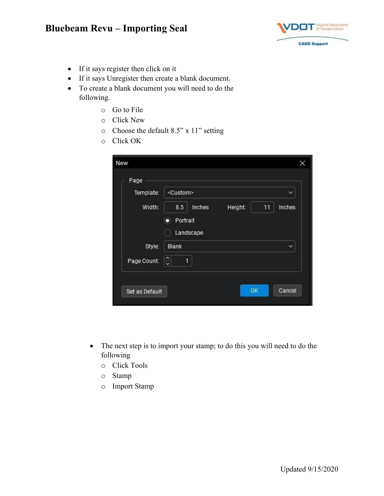## **Bluebeam Revu – Importing Seal**



- If it says register then click on it
- If it says Unregister then create a blank document.
- To create a blank document you will need to do the following.
	- o Go to File
	- o Click New
	- o Choose the default 8.5" x 11" setting
	- o Click OK

| Template:   | <custom><br/><math>\check{ }</math></custom> |
|-------------|----------------------------------------------|
| Width:      | Inches<br>8.5<br>Height:<br>11<br>Inches     |
|             | Portrait<br>п                                |
|             | Landscape                                    |
| Style:      | Blank<br>$\checkmark$                        |
| Page Count: | 1<br>$\ddot{\phantom{0}}$                    |

- The next step is to import your stamp; to do this you will need to do the following
	- o Click Tools
	- o Stamp
	- o Import Stamp